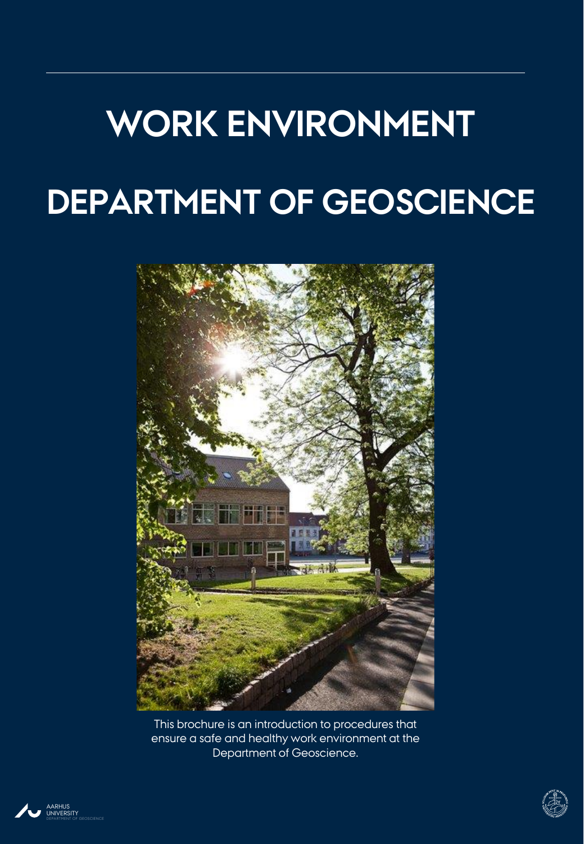# **WORK ENVIRONMENT DEPARTMENT OF GEOSCIENCE**



This brochure is an introduction to procedures that ensure a safe and healthy work environment at the Department of Geoscience.



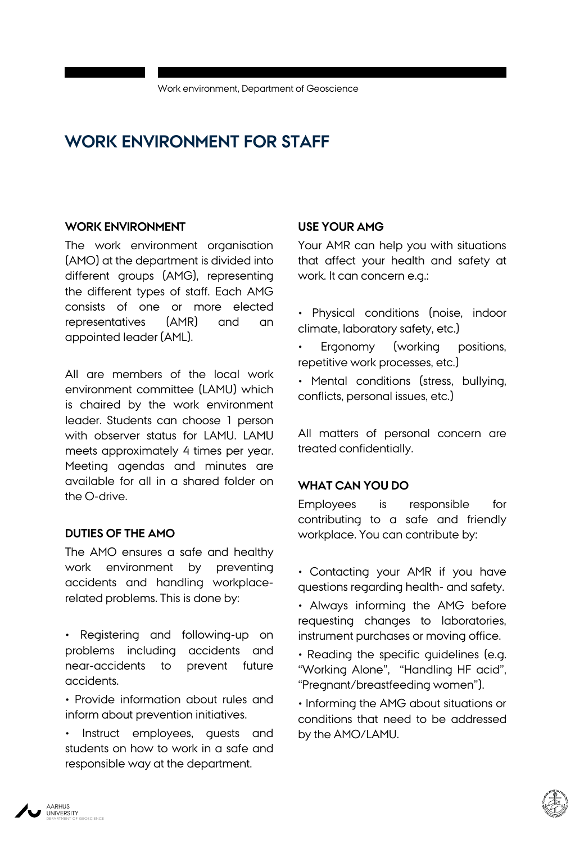# **WORK ENVIRONMENT FOR STAFF**

#### **WORK ENVIRONMENT**

The work environment organisation (AMO) at the department is divided into different groups (AMG), representing the different types of staff. Each AMG consists of one or more elected representatives (AMR) and an appointed leader (AML).

All are members of the local work environment committee (LAMU) which is chaired by the work environment leader. Students can choose 1 person with observer status for LAMU. LAMU meets approximately 4 times per year. Meeting agendas and minutes are available for all in a shared folder on the O-drive.

#### **DUTIES OF THE AMO**

The AMO ensures a safe and healthy work environment by preventing accidents and handling workplacerelated problems. This is done by:

- Registering and following-up on problems including accidents and near-accidents to prevent future accidents.
- Provide information about rules and inform about prevention initiatives.
- Instruct employees, guests and students on how to work in a safe and responsible way at the department.

#### **USE YOUR AMG**

Your AMR can help you with situations that affect your health and safety at work. It can concern e.g.:

- Physical conditions (noise, indoor climate, laboratory safety, etc.)
- Ergonomy (working positions, repetitive work processes, etc.)
- Mental conditions (stress, bullying, conflicts, personal issues, etc.)

All matters of personal concern are treated confidentially.

#### **WHAT CAN YOU DO**

Employees is responsible for contributing to a safe and friendly workplace. You can contribute by:

- Contacting your AMR if you have questions regarding health- and safety.
- Always informing the AMG before requesting changes to laboratories, instrument purchases or moving office.
- Reading the specific guidelines (e.g. "Working Alone", "Handling HF acid", "Pregnant/breastfeeding women").
- Informing the AMG about situations or conditions that need to be addressed by the AMO/LAMU.

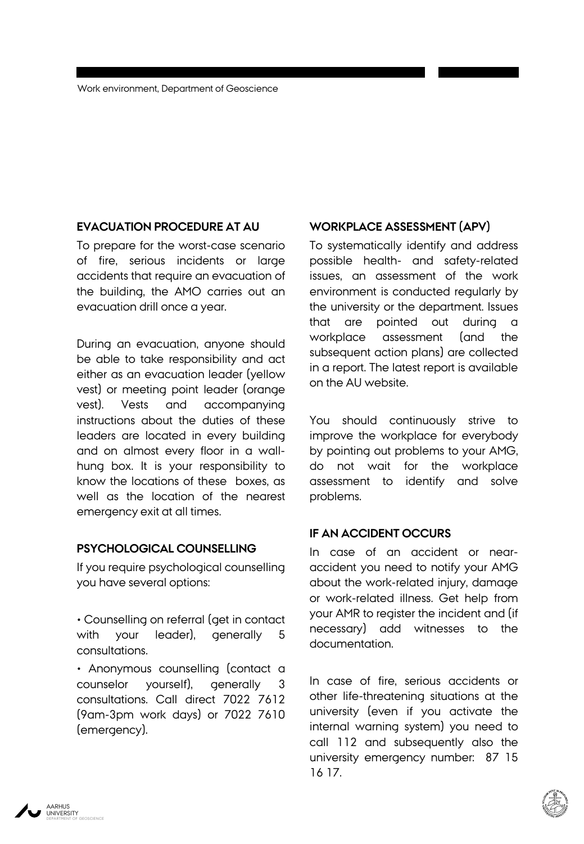#### **EVACUATION PROCEDURE AT AU**

To prepare for the worst-case scenario of fire, serious incidents or large accidents that require an evacuation of the building, the AMO carries out an evacuation drill once a year.

During an evacuation, anyone should be able to take responsibility and act either as an evacuation leader (yellow vest) or meeting point leader (orange vest). Vests and accompanying instructions about the duties of these leaders are located in every building and on almost every floor in a wallhung box. It is your responsibility to know the locations of these boxes, as well as the location of the nearest emergency exit at all times.

#### **PSYCHOLOGICAL COUNSELLING**

If you require psychological counselling you have several options:

• Counselling on referral (get in contact with your leader), generally 5 consultations.

• Anonymous counselling (contact a counselor yourself), generally 3 consultations. Call direct 7022 7612 (9am-3pm work days) or 7022 7610 (emergency).

#### **WORKPLACE ASSESSMENT (APV)**

To systematically identify and address possible health- and safety-related issues, an assessment of the work environment is conducted regularly by the university or the department. Issues that are pointed out during a workplace assessment (and the subsequent action plans) are collected in a report. The latest report is available on the AU website.

You should continuously strive to improve the workplace for everybody by pointing out problems to your AMG, do not wait for the workplace assessment to identify and solve problems.

#### **IF AN ACCIDENT OCCURS**

In case of an accident or nearaccident you need to notify your AMG about the work-related injury, damage or work-related illness. Get help from your AMR to register the incident and (if necessary) add witnesses to the documentation.

In case of fire, serious accidents or other life-threatening situations at the university (even if you activate the internal warning system) you need to call 112 and subsequently also the university emergency number: 87 15 16 17.